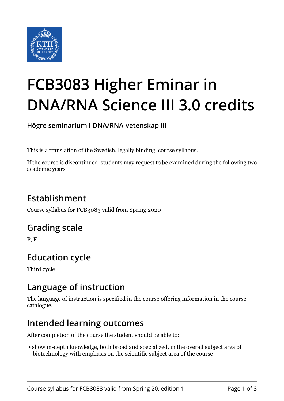

# **FCB3083 Higher Eminar in DNA/RNA Science III 3.0 credits**

**Högre seminarium i DNA/RNA-vetenskap III**

This is a translation of the Swedish, legally binding, course syllabus.

If the course is discontinued, students may request to be examined during the following two academic years

# **Establishment**

Course syllabus for FCB3083 valid from Spring 2020

#### **Grading scale**

P, F

# **Education cycle**

Third cycle

#### **Language of instruction**

The language of instruction is specified in the course offering information in the course catalogue.

#### **Intended learning outcomes**

After completion of the course the student should be able to:

 • show in-depth knowledge, both broad and specialized, in the overall subject area of biotechnology with emphasis on the scientific subject area of the course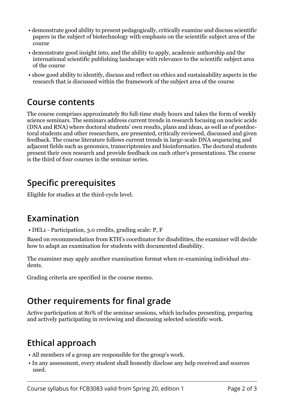- demonstrate good ability to present pedagogically, critically examine and discuss scientific papers in the subject of biotechnology with emphasis on the scientific subject area of the course
- demonstrate good insight into, and the ability to apply, academic authorship and the international scientific publishing landscape with relevance to the scientific subject area of the course
- show good ability to identify, discuss and reflect on ethics and sustainability aspects in the research that is discussed within the framework of the subject area of the course

#### **Course contents**

The course comprises approximately 80 full-time study hours and takes the form of weekly science seminars. The seminars address current trends in research focusing on nucleic acids (DNA and RNA) where doctoral students' own results, plans and ideas, as well as of postdoctoral students and other researchers, are presented, critically reviewed, discussed and given feedback. The course literature follows current trends in large-scale DNA sequencing and adjacent fields such as genomics, transcriptomics and bioinformatics. The doctoral students present their own research and provide feedback on each other's presentations. The course is the third of four courses in the seminar series.

### **Specific prerequisites**

Eligible for studies at the third-cycle level.

#### **Examination**

• DEL1 - Participation, 3.0 credits, grading scale: P, F

Based on recommendation from KTH's coordinator for disabilities, the examiner will decide how to adapt an examination for students with documented disability.

The examiner may apply another examination format when re-examining individual students.

Grading criteria are specified in the course memo.

## **Other requirements for final grade**

Active participation at 80% of the seminar sessions, which includes presenting, preparing and actively participating in reviewing and discussing selected scientific work.

## **Ethical approach**

- All members of a group are responsible for the group's work.
- In any assessment, every student shall honestly disclose any help received and sources used.